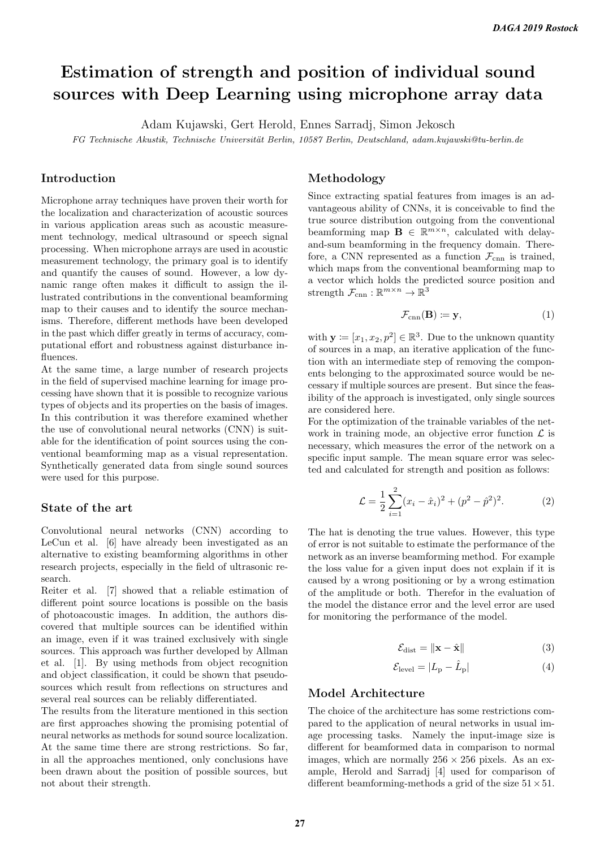# Estimation of strength and position of individual sound sources with Deep Learning using microphone array data

Adam Kujawski, Gert Herold, Ennes Sarradj, Simon Jekosch

FG Technische Akustik, Technische Universität Berlin, 10587 Berlin, Deutschland, adam.kujawski@tu-berlin.de

## Introduction

Microphone array techniques have proven their worth for the localization and characterization of acoustic sources in various application areas such as acoustic measurement technology, medical ultrasound or speech signal processing. When microphone arrays are used in acoustic measurement technology, the primary goal is to identify and quantify the causes of sound. However, a low dynamic range often makes it difficult to assign the illustrated contributions in the conventional beamforming map to their causes and to identify the source mechanisms. Therefore, different methods have been developed in the past which differ greatly in terms of accuracy, computational effort and robustness against disturbance influences.

At the same time, a large number of research projects in the field of supervised machine learning for image processing have shown that it is possible to recognize various types of objects and its properties on the basis of images. In this contribution it was therefore examined whether the use of convolutional neural networks (CNN) is suitable for the identification of point sources using the conventional beamforming map as a visual representation. Synthetically generated data from single sound sources were used for this purpose.

#### State of the art

Convolutional neural networks (CNN) according to LeCun et al. [6] have already been investigated as an alternative to existing beamforming algorithms in other research projects, especially in the field of ultrasonic research.

Reiter et al. [7] showed that a reliable estimation of different point source locations is possible on the basis of photoacoustic images. In addition, the authors discovered that multiple sources can be identified within an image, even if it was trained exclusively with single sources. This approach was further developed by Allman et al. [1]. By using methods from object recognition and object classification, it could be shown that pseudosources which result from reflections on structures and several real sources can be reliably differentiated.

The results from the literature mentioned in this section are first approaches showing the promising potential of neural networks as methods for sound source localization. At the same time there are strong restrictions. So far, in all the approaches mentioned, only conclusions have been drawn about the position of possible sources, but not about their strength.

#### Methodology

Since extracting spatial features from images is an advantageous ability of CNNs, it is conceivable to find the true source distribution outgoing from the conventional beamforming map  $\mathbf{B} \in \mathbb{R}^{m \times n}$ , calculated with delayand-sum beamforming in the frequency domain. Therefore, a CNN represented as a function  $\mathcal{F}_{\text{cnn}}$  is trained, which maps from the conventional beamforming map to a vector which holds the predicted source position and strength  $\mathcal{F}_{\text{cnn}} : \mathbb{R}^{m \times n} \to \mathbb{R}^3$ 

$$
\mathcal{F}_{\text{cnn}}(\mathbf{B}) \coloneqq \mathbf{y},\tag{1}
$$

with  $\mathbf{y} \coloneqq [x_1, x_2, p^2] \in \mathbb{R}^3$ . Due to the unknown quantity of sources in a map, an iterative application of the function with an intermediate step of removing the components belonging to the approximated source would be necessary if multiple sources are present. But since the feasibility of the approach is investigated, only single sources are considered here.

For the optimization of the trainable variables of the network in training mode, an objective error function  $\mathcal L$  is necessary, which measures the error of the network on a specific input sample. The mean square error was selected and calculated for strength and position as follows:

$$
\mathcal{L} = \frac{1}{2} \sum_{i=1}^{2} (x_i - \hat{x}_i)^2 + (p^2 - \hat{p}^2)^2.
$$
 (2)

The hat is denoting the true values. However, this type of error is not suitable to estimate the performance of the network as an inverse beamforming method. For example the loss value for a given input does not explain if it is caused by a wrong positioning or by a wrong estimation of the amplitude or both. Therefor in the evaluation of the model the distance error and the level error are used for monitoring the performance of the model.

$$
\mathcal{E}_{\text{dist}} = \|\mathbf{x} - \hat{\mathbf{x}}\| \tag{3}
$$

$$
\mathcal{E}_{\text{level}} = |L_{\text{p}} - \hat{L}_{\text{p}}| \tag{4}
$$

#### Model Architecture

The choice of the architecture has some restrictions compared to the application of neural networks in usual image processing tasks. Namely the input-image size is different for beamformed data in comparison to normal images, which are normally  $256 \times 256$  pixels. As an example, Herold and Sarradj [4] used for comparison of different beamforming-methods a grid of the size  $51 \times 51$ .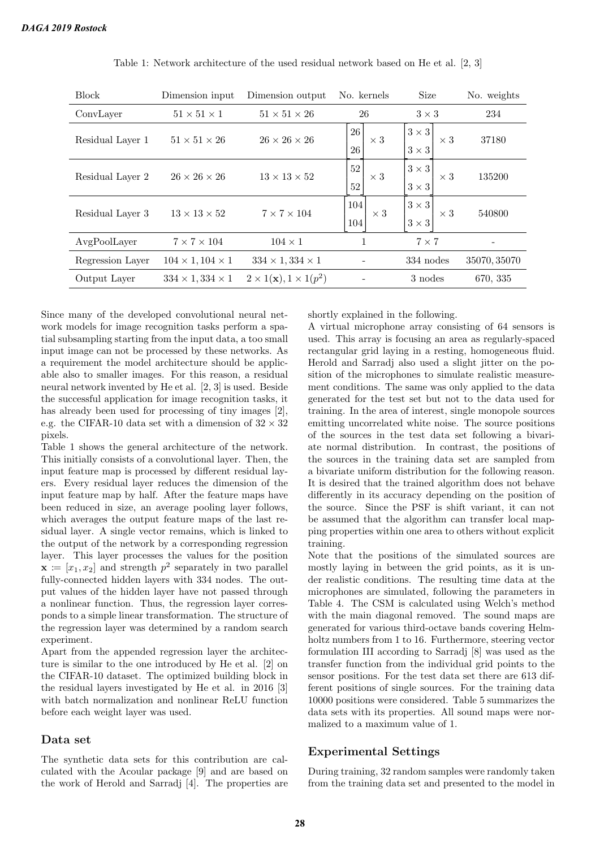| <b>Block</b>     | Dimension input              | No. kernels<br>Dimension output           |                            | <b>Size</b>                                | No. weights  |
|------------------|------------------------------|-------------------------------------------|----------------------------|--------------------------------------------|--------------|
| ConvLayer        | $51 \times 51 \times 1$      | $51 \times 51 \times 26$                  | 26                         | $3 \times 3$                               | 234          |
| Residual Layer 1 | $51 \times 51 \times 26$     | $26 \times 26 \times 26$                  | 26<br>$\times$ 3<br>26     | $3\times3$<br>$\times$ 3<br>$3\times3$     | 37180        |
| Residual Layer 2 | $26 \times 26 \times 26$     | $13 \times 13 \times 52$                  | 52<br>$\times$ 3<br>$52\,$ | $3 \times 3$<br>$\times 3$<br>$3 \times 3$ | 135200       |
| Residual Layer 3 | $13 \times 13 \times 52$     | $7 \times 7 \times 104$                   | 104<br>$\times 3$<br>104   | $3 \times 3$<br>$\times 3$<br>$3 \times 3$ | 540800       |
| AvgPoolLayer     | $7 \times 7 \times 104$      | $104 \times 1$                            | 1                          | $7 \times 7$                               |              |
| Regression Layer | $104 \times 1, 104 \times 1$ | $334 \times 1,334 \times 1$               |                            | 334 nodes                                  | 35070, 35070 |
| Output Layer     | $334 \times 1,334 \times 1$  | $2 \times 1(\mathbf{x}), 1 \times 1(p^2)$ |                            | 3 nodes                                    | 670, 335     |
|                  |                              |                                           |                            |                                            |              |

Table 1: Network architecture of the used residual network based on He et al. [2, 3]

Since many of the developed convolutional neural network models for image recognition tasks perform a spatial subsampling starting from the input data, a too small input image can not be processed by these networks. As a requirement the model architecture should be applicable also to smaller images. For this reason, a residual neural network invented by He et al. [2, 3] is used. Beside the successful application for image recognition tasks, it has already been used for processing of tiny images [2], e.g. the CIFAR-10 data set with a dimension of  $32 \times 32$ pixels.

Table 1 shows the general architecture of the network. This initially consists of a convolutional layer. Then, the input feature map is processed by different residual layers. Every residual layer reduces the dimension of the input feature map by half. After the feature maps have been reduced in size, an average pooling layer follows, which averages the output feature maps of the last residual layer. A single vector remains, which is linked to the output of the network by a corresponding regression layer. This layer processes the values for the position  $\mathbf{x} \coloneqq [x_1, x_2]$  and strength  $p^2$  separately in two parallel fully-connected hidden layers with 334 nodes. The output values of the hidden layer have not passed through a nonlinear function. Thus, the regression layer corresponds to a simple linear transformation. The structure of the regression layer was determined by a random search experiment.

Apart from the appended regression layer the architecture is similar to the one introduced by He et al. [2] on the CIFAR-10 dataset. The optimized building block in the residual layers investigated by He et al. in 2016 [3] with batch normalization and nonlinear ReLU function before each weight layer was used.

#### Data set

The synthetic data sets for this contribution are calculated with the Acoular package [9] and are based on the work of Herold and Sarradj [4]. The properties are shortly explained in the following.

A virtual microphone array consisting of 64 sensors is used. This array is focusing an area as regularly-spaced rectangular grid laying in a resting, homogeneous fluid. Herold and Sarradj also used a slight jitter on the position of the microphones to simulate realistic measurement conditions. The same was only applied to the data generated for the test set but not to the data used for training. In the area of interest, single monopole sources emitting uncorrelated white noise. The source positions of the sources in the test data set following a bivariate normal distribution. In contrast, the positions of the sources in the training data set are sampled from a bivariate uniform distribution for the following reason. It is desired that the trained algorithm does not behave differently in its accuracy depending on the position of the source. Since the PSF is shift variant, it can not be assumed that the algorithm can transfer local mapping properties within one area to others without explicit training.

Note that the positions of the simulated sources are mostly laying in between the grid points, as it is under realistic conditions. The resulting time data at the microphones are simulated, following the parameters in Table 4. The CSM is calculated using Welch's method with the main diagonal removed. The sound maps are generated for various third-octave bands covering Helmholtz numbers from 1 to 16. Furthermore, steering vector formulation III according to Sarradj [8] was used as the transfer function from the individual grid points to the sensor positions. For the test data set there are 613 different positions of single sources. For the training data 10000 positions were considered. Table 5 summarizes the data sets with its properties. All sound maps were normalized to a maximum value of 1.

# Experimental Settings

During training, 32 random samples were randomly taken from the training data set and presented to the model in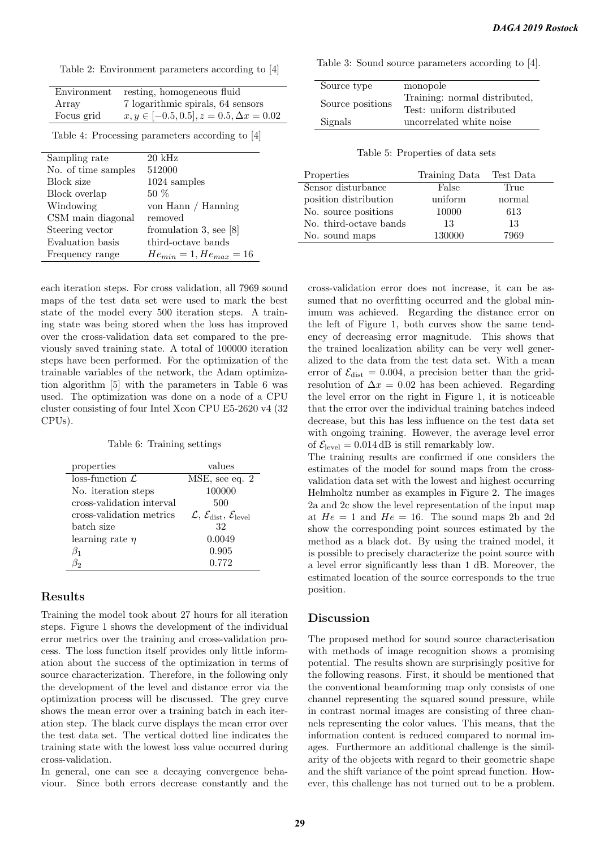Table 2: Environment parameters according to [4]

| Environment | resting, homogeneous fluid                       |
|-------------|--------------------------------------------------|
| Array       | 7 logarithmic spirals, 64 sensors                |
| Focus grid  | $x, y \in [-0.5, 0.5], z = 0.5, \Delta x = 0.02$ |

Table 4: Processing parameters according to [4]

| Sampling rate       | $20 \text{ kHz}$              |  |
|---------------------|-------------------------------|--|
| No. of time samples | 512000                        |  |
| Block size          | $1024$ samples                |  |
| Block overlap       | $50\%$                        |  |
| Windowing           | von Hann / Hanning            |  |
| CSM main diagonal   | removed                       |  |
| Steering vector     | fromulation 3, see $[8]$      |  |
| Evaluation basis    | third-octave bands            |  |
| Frequency range     | $He_{min} = 1, He_{max} = 16$ |  |

each iteration steps. For cross validation, all 7969 sound maps of the test data set were used to mark the best state of the model every 500 iteration steps. A training state was being stored when the loss has improved over the cross-validation data set compared to the previously saved training state. A total of 100000 iteration steps have been performed. For the optimization of the trainable variables of the network, the Adam optimization algorithm [5] with the parameters in Table 6 was used. The optimization was done on a node of a CPU cluster consisting of four Intel Xeon CPU E5-2620 v4 (32 CPUs).

Table 6: Training settings

| properties                  | values                                                               |
|-----------------------------|----------------------------------------------------------------------|
| $loss-function \mathcal{L}$ | MSE, see eq. 2                                                       |
| No. iteration steps         | 100000                                                               |
| cross-validation interval   | 500                                                                  |
| cross-validation metrics    | $\mathcal{L}, \mathcal{E}_{\text{dist}}, \mathcal{E}_{\text{level}}$ |
| batch size                  | 32                                                                   |
| learning rate $\eta$        | 0.0049                                                               |
| $\beta_1$                   | 0.905                                                                |
| Jο                          | 0.772                                                                |

#### Results

Training the model took about 27 hours for all iteration steps. Figure 1 shows the development of the individual error metrics over the training and cross-validation process. The loss function itself provides only little information about the success of the optimization in terms of source characterization. Therefore, in the following only the development of the level and distance error via the optimization process will be discussed. The grey curve shows the mean error over a training batch in each iteration step. The black curve displays the mean error over the test data set. The vertical dotted line indicates the training state with the lowest loss value occurred during cross-validation.

In general, one can see a decaying convergence behaviour. Since both errors decrease constantly and the Table 3: Sound source parameters according to [4].

| Source type      | monopole                      |
|------------------|-------------------------------|
| Source positions | Training: normal distributed, |
|                  | Test: uniform distributed     |
| Signals          | uncorrelated white noise      |

Table 5: Properties of data sets

| Properties             | Training Data | Test Data |
|------------------------|---------------|-----------|
| Sensor disturbance     | False         | True      |
| position distribution  | uniform       | normal    |
| No. source positions   | 10000         | 613       |
| No. third-octave bands | 13            | 13        |
| No. sound maps         | 130000        | 7969      |

cross-validation error does not increase, it can be assumed that no overfitting occurred and the global minimum was achieved. Regarding the distance error on the left of Figure 1, both curves show the same tendency of decreasing error magnitude. This shows that the trained localization ability can be very well generalized to the data from the test data set. With a mean error of  $\mathcal{E}_{\text{dist}} = 0.004$ , a precision better than the gridresolution of  $\Delta x = 0.02$  has been achieved. Regarding the level error on the right in Figure 1, it is noticeable that the error over the individual training batches indeed decrease, but this has less influence on the test data set with ongoing training. However, the average level error of  $\mathcal{E}_{\text{level}} = 0.014 \,\text{dB}$  is still remarkably low.

The training results are confirmed if one considers the estimates of the model for sound maps from the crossvalidation data set with the lowest and highest occurring Helmholtz number as examples in Figure 2. The images 2a and 2c show the level representation of the input map at  $He = 1$  and  $He = 16$ . The sound maps 2b and 2d show the corresponding point sources estimated by the method as a black dot. By using the trained model, it is possible to precisely characterize the point source with a level error significantly less than 1 dB. Moreover, the estimated location of the source corresponds to the true position.

#### Discussion

The proposed method for sound source characterisation with methods of image recognition shows a promising potential. The results shown are surprisingly positive for the following reasons. First, it should be mentioned that the conventional beamforming map only consists of one channel representing the squared sound pressure, while in contrast normal images are consisting of three channels representing the color values. This means, that the information content is reduced compared to normal images. Furthermore an additional challenge is the similarity of the objects with regard to their geometric shape and the shift variance of the point spread function. However, this challenge has not turned out to be a problem.